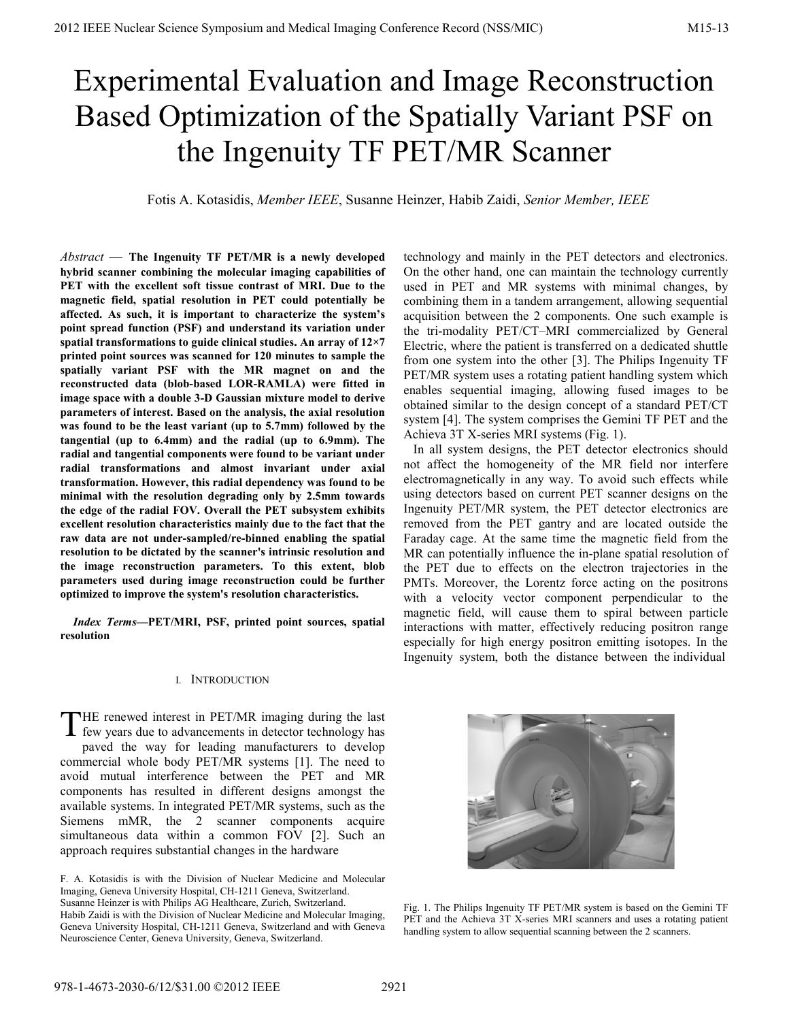# Experimental Evaluation and Image Reconstruction Based Optimization of the Spatially Variant PSF on the Ingenuity TF PET/MR Scanner

Fotis A. Kotasidis, *Membe er IEEE*, Susanne Heinzer, Habib Zaidi, *Senior Mem mber, IEEE*

*Abstract* — **The Ingenuity TF PET/MR is a a newly developed**  hybrid scanner combining the molecular imaging capabilities of **PET with the excellent soft tissue contrast of MRI. Due to the**  magnetic field, spatial resolution in PET could potentially be affected. As such, it is important to characterize the system's point spread function (PSF) and understand its variation under **spatial transformations to guide clinical studies. . An array of 12×7 printed point sources was scanned for 120 min utes to sample the**  spatially variant PSF with the MR magnet on and the **reconstructed data (blob-based LOR-RAMLA A) were fitted in**  image space with a double 3-D Gaussian mixture model to derive **parameters of interest. Based on the analysis, th he axial resolution was found to be the least variant (up to 5.7mm m) followed by the tangential (up to 6.4mm) and the radial (up p to 6.9mm). The**  radial and tangential components were found to be variant under radial transformations and almost invariant under axial **transformation. However, this radial dependenc cy was found to be minimal with the resolution degrading only b by 2.5mm towards the edge of the radial FOV. Overall the PET s subsystem exhibits**  excellent resolution characteristics mainly due to the fact that the raw data are not under-sampled/re-binned enabling the spatial resolution to be dictated by the scanner's intrinsic resolution and **the image reconstruction parameters. To t this extent, blob**  parameters used during image reconstruction could be further **optimized to improve the system's resolution ch haracteristics.** 

Index Terms-PET/MRI, PSF, printed point sources, spatial **resolution** 

## I. INTRODUCTION

HE renewed interest in PET/MR imaging during the last THE renewed interest in PET/MR imaging during the last few years due to advancements in detector technology has paved the way for leading manufacturers to develop commercial whole body PET/MR systems [1]. The need to avoid mutual interference between the PET and MR components has resulted in different designs amongst the available systems. In integrated PET/MR systems, such as the Siemens mMR, the 2 scanner components acquire simultaneous data within a common FOV [2]. Such an approach requires substantial changes in the h hardware

technology and mainly in the PET detectors and electronics. On the other hand, one can maintai n the technology currently used in PET and MR systems with minimal changes, by combining them in a tandem arrang ement, allowing sequential acquisition between the 2 components. One such example is the tri-modality PET/CT–MRI co mmercialized by General Electric, where the patient is transferred on a dedicated shuttle from one system into the other [3]. . The Philips Ingenuity TF PET/MR system uses a rotating patient handling system which enables sequential imaging, allowing fused images to be obtained similar to the design concept of a standard PET/CT system [4]. The system comprises the Gemini TF PET and the Achieva 3T X-series MRI systems ( Fig. 1).

In all system designs, the PET detector electronics should not affect the homogeneity of th e MR field nor interfere electromagnetically in any way. To avoid such effects while using detectors based on current PE ET scanner designs on the Ingenuity PET/MR system, the PE ET detector electronics are removed from the PET gantry and are located outside the Faraday cage. At the same time the magnetic field from the MR can potentially influence the in -plane spatial resolution of the PET due to effects on the el lectron trajectories in the PMTs. Moreover, the Lorentz force acting on the positrons with a velocity vector component perpendicular to the magnetic field, will cause them to spiral between particle interactions with matter, effectively reducing positron range especially for high energy positron emitting isotopes. In the Ingenuity system, both the distance between the individual



Fig. 1. The Philips Ingenuity TF PET/MR system is based on the Gemini TF PET and the Achieva 3T X-series MRI scanners and uses a rotating patient handling system to allow sequential scanning between the 2 scanners.

F. A. Kotasidis is with the Division of Nuclear Medicine and Molecular Imaging, Geneva University Hospital, CH-1211 Geneva, Switzerland. Susanne Heinzer is with Philips AG Healthcare, Zurich, Switzerland. Habib Zaidi is with the Division of Nuclear Medicine and Molecular Imaging, Geneva University Hospital, CH-1211 Geneva, Switzerl land and with Geneva Neuroscience Center, Geneva University, Geneva, Switz erland.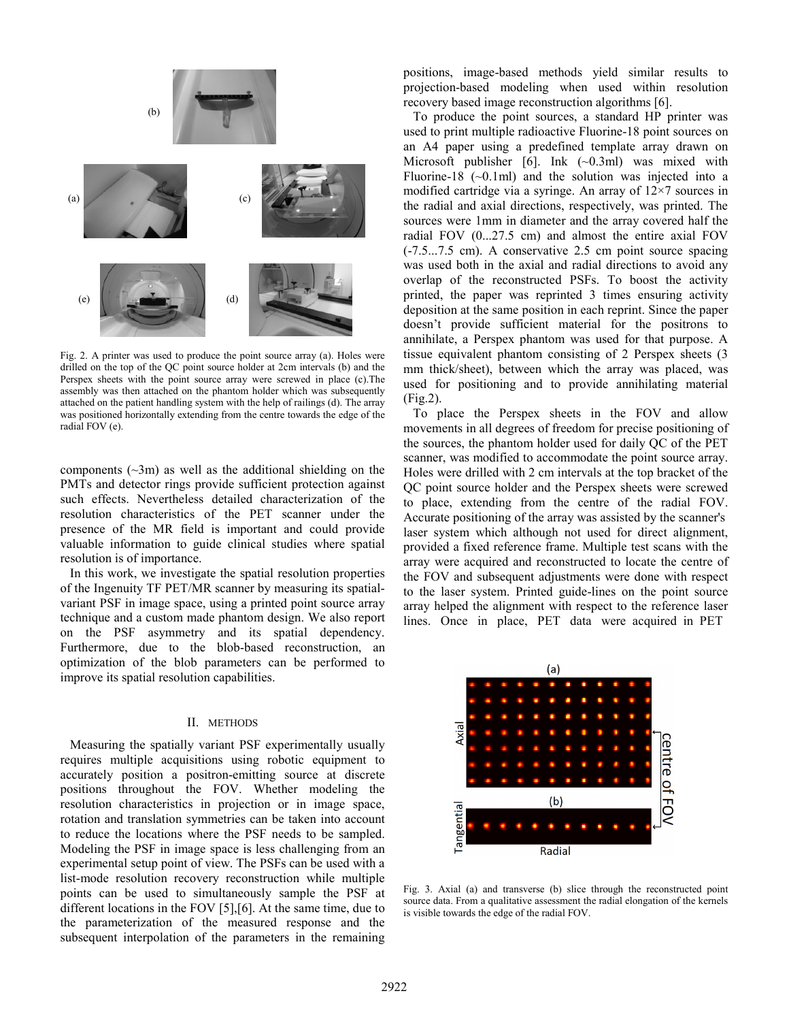

Fig. 2. A printer was used to produce the point source array (a). Holes were drilled on the top of the QC point source holder at 2cm intervals (b) and the Perspex sheets with the point source array were screwed in place (c).The assembly was then attached on the phantom holder which was subsequently attached on the patient handling system with the help of railings (d). The array was positioned horizontally extending from the centre towards the edge of the radial FOV (e).

components  $(\sim 3m)$  as well as the additional shielding on the PMTs and detector rings provide sufficient protection against such effects. Nevertheless detailed characterization of the resolution characteristics of the PET scanner under the presence of the MR field is important and could provide valuable information to guide clinical studies where spatial resolution is of importance.

 In this work, we investigate the spatial resolution properties of the Ingenuity TF PET/MR scanner by measuring its spatialvariant PSF in image space, using a printed point source array technique and a custom made phantom design. We also report on the PSF asymmetry and its spatial dependency. Furthermore, due to the blob-based reconstruction, an optimization of the blob parameters can be performed to improve its spatial resolution capabilities.

# II. METHODS

 Measuring the spatially variant PSF experimentally usually requires multiple acquisitions using robotic equipment to accurately position a positron-emitting source at discrete positions throughout the FOV. Whether modeling the resolution characteristics in projection or in image space, rotation and translation symmetries can be taken into account to reduce the locations where the PSF needs to be sampled. Modeling the PSF in image space is less challenging from an experimental setup point of view. The PSFs can be used with a list-mode resolution recovery reconstruction while multiple points can be used to simultaneously sample the PSF at different locations in the FOV [5],[6]. At the same time, due to the parameterization of the measured response and the subsequent interpolation of the parameters in the remaining positions, image-based methods yield similar results to projection-based modeling when used within resolution recovery based image reconstruction algorithms [6].

 To produce the point sources, a standard HP printer was used to print multiple radioactive Fluorine-18 point sources on an A4 paper using a predefined template array drawn on Microsoft publisher [6]. Ink (~0.3ml) was mixed with Fluorine-18 ( $\sim$ 0.1ml) and the solution was injected into a modified cartridge via a syringe. An array of 12×7 sources in the radial and axial directions, respectively, was printed. The sources were 1mm in diameter and the array covered half the radial FOV (0...27.5 cm) and almost the entire axial FOV (-7.5...7.5 cm). A conservative 2.5 cm point source spacing was used both in the axial and radial directions to avoid any overlap of the reconstructed PSFs. To boost the activity printed, the paper was reprinted 3 times ensuring activity deposition at the same position in each reprint. Since the paper doesn't provide sufficient material for the positrons to annihilate, a Perspex phantom was used for that purpose. A tissue equivalent phantom consisting of 2 Perspex sheets (3 mm thick/sheet), between which the array was placed, was used for positioning and to provide annihilating material (Fig.2).

 To place the Perspex sheets in the FOV and allow movements in all degrees of freedom for precise positioning of the sources, the phantom holder used for daily QC of the PET scanner, was modified to accommodate the point source array. Holes were drilled with 2 cm intervals at the top bracket of the QC point source holder and the Perspex sheets were screwed to place, extending from the centre of the radial FOV. Accurate positioning of the array was assisted by the scanner's laser system which although not used for direct alignment, provided a fixed reference frame. Multiple test scans with the array were acquired and reconstructed to locate the centre of the FOV and subsequent adjustments were done with respect to the laser system. Printed guide-lines on the point source array helped the alignment with respect to the reference laser lines. Once in place, PET data were acquired in PET



Fig. 3. Axial (a) and transverse (b) slice through the reconstructed point source data. From a qualitative assessment the radial elongation of the kernels is visible towards the edge of the radial FOV.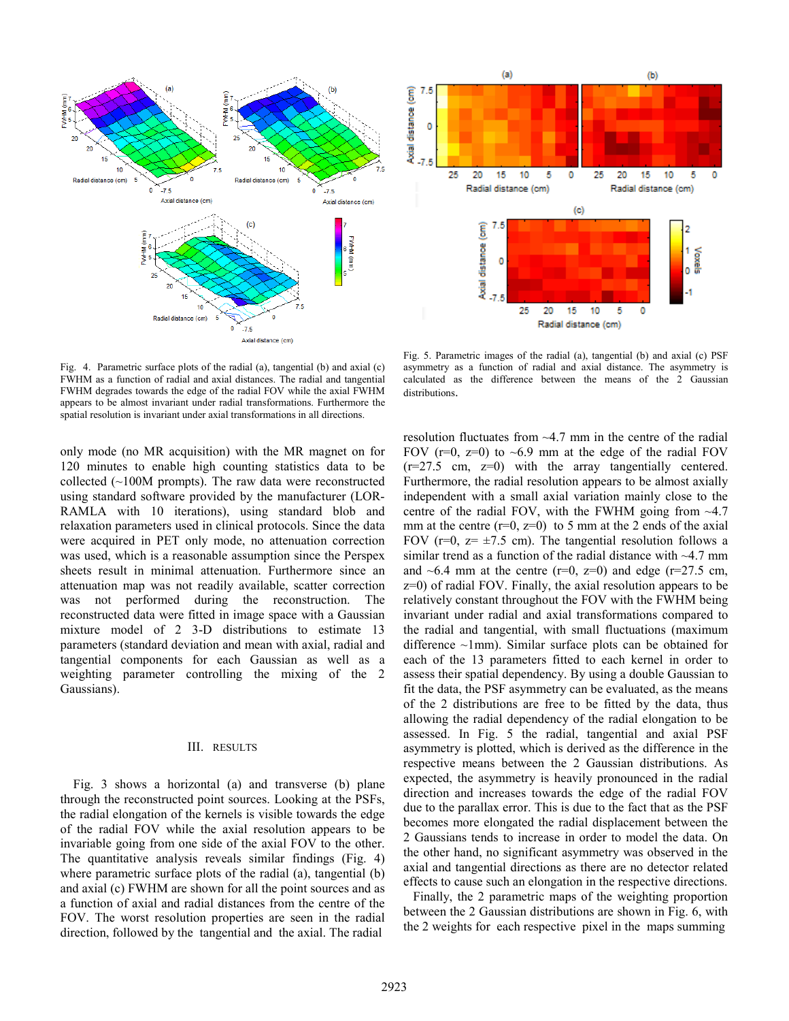

 $(a)$  $(b)$ T.5<br>Axial distance<br>-7.5 25 20 15 10 5  $\Omega$ 25 20 45 10 5  $\theta$ Radial distance (cm) Radial distance (cm)  $\left( \mathbf{c} \right)$ 71 Axial distance (cm) O 0 -75 25 5  $\mathbf 0$ 20 15 10 Radial distance (cm)

Fig. 4. Parametric surface plots of the radial (a), tangential (b) and axial (c) FWHM as a function of radial and axial distances. The radial and tangential FWHM degrades towards the edge of the radial FOV while the axial FWHM appears to be almost invariant under radial transformations. Furthermore the spatial resolution is invariant under axial transformations in all directions.

only mode (no MR acquisition) with the MR magnet on for 120 minutes to enable high counting statistics data to be collected (~100M prompts). The raw data were reconstructed using standard software provided by the manufacturer (LOR-RAMLA with 10 iterations), using standard blob and relaxation parameters used in clinical protocols. Since the data were acquired in PET only mode, no attenuation correction was used, which is a reasonable assumption since the Perspex sheets result in minimal attenuation. Furthermore since an attenuation map was not readily available, scatter correction was not performed during the reconstruction. The reconstructed data were fitted in image space with a Gaussian mixture model of 2 3-D distributions to estimate 13 parameters (standard deviation and mean with axial, radial and tangential components for each Gaussian as well as a weighting parameter controlling the mixing of the 2 Gaussians).

## III. RESULTS

 Fig. 3 shows a horizontal (a) and transverse (b) plane through the reconstructed point sources. Looking at the PSFs, the radial elongation of the kernels is visible towards the edge of the radial FOV while the axial resolution appears to be invariable going from one side of the axial FOV to the other. The quantitative analysis reveals similar findings (Fig. 4) where parametric surface plots of the radial (a), tangential (b) and axial (c) FWHM are shown for all the point sources and as a function of axial and radial distances from the centre of the FOV. The worst resolution properties are seen in the radial direction, followed by the tangential and the axial. The radial

Fig. 5. Parametric images of the radial (a), tangential (b) and axial (c) PSF asymmetry as a function of radial and axial distance. The asymmetry is calculated as the difference between the means of the 2 Gaussian distributions.

resolution fluctuates from ~4.7 mm in the centre of the radial FOV ( $r=0$ ,  $z=0$ ) to  $\sim 6.9$  mm at the edge of the radial FOV  $(r=27.5 \text{ cm}, z=0)$  with the array tangentially centered. Furthermore, the radial resolution appears to be almost axially independent with a small axial variation mainly close to the centre of the radial FOV, with the FWHM going from ~4.7 mm at the centre  $(r=0, z=0)$  to 5 mm at the 2 ends of the axial FOV (r=0,  $z= \pm 7.5$  cm). The tangential resolution follows a similar trend as a function of the radial distance with ~4.7 mm and  $\sim$  6.4 mm at the centre (r=0, z=0) and edge (r=27.5 cm, z=0) of radial FOV. Finally, the axial resolution appears to be relatively constant throughout the FOV with the FWHM being invariant under radial and axial transformations compared to the radial and tangential, with small fluctuations (maximum difference ~1mm). Similar surface plots can be obtained for each of the 13 parameters fitted to each kernel in order to assess their spatial dependency. By using a double Gaussian to fit the data, the PSF asymmetry can be evaluated, as the means of the 2 distributions are free to be fitted by the data, thus allowing the radial dependency of the radial elongation to be assessed. In Fig. 5 the radial, tangential and axial PSF asymmetry is plotted, which is derived as the difference in the respective means between the 2 Gaussian distributions. As expected, the asymmetry is heavily pronounced in the radial direction and increases towards the edge of the radial FOV due to the parallax error. This is due to the fact that as the PSF becomes more elongated the radial displacement between the 2 Gaussians tends to increase in order to model the data. On the other hand, no significant asymmetry was observed in the axial and tangential directions as there are no detector related effects to cause such an elongation in the respective directions.

 Finally, the 2 parametric maps of the weighting proportion between the 2 Gaussian distributions are shown in Fig. 6, with the 2 weights for each respective pixel in the maps summing